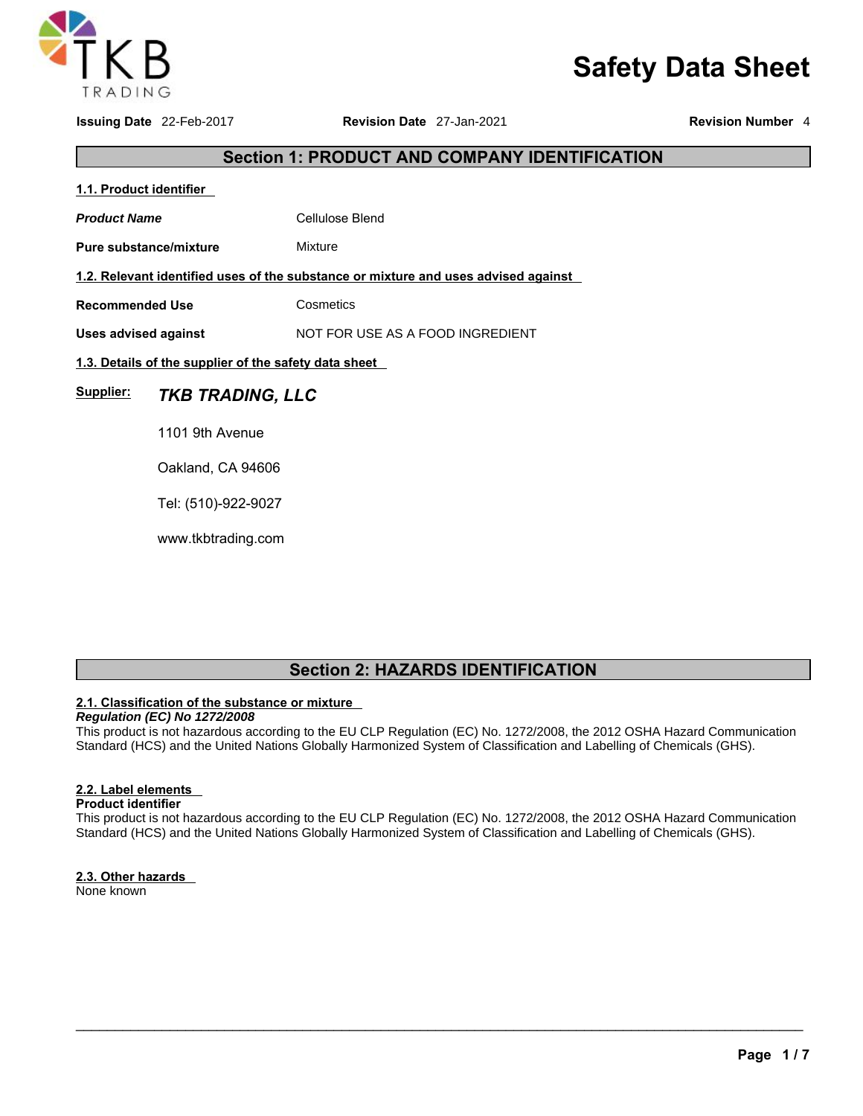

# **Safety Data Sheet**

**Issuing Date** 22-Feb-2017 **Revision Date** 27-Jan-2021 **Revision Number** 4

### **Section 1: PRODUCT AND COMPANY IDENTIFICATION**

**1.1. Product identifier**  Product Name **Cellulose Blend Pure substance/mixture Mixture 1.2. Relevant identified uses of the substance or mixture and uses advised against Recommended Use Cosmetics Uses advised against** NOT FOR USE AS A FOOD INGREDIENT **1.3. Details of the supplier of the safety data sheet Supplier:** *TKB TRADING, LLC* 1101 9th Avenue Oakland, CA 94606 Tel: (510)-922-9027

www.tkbtrading.com

### **Section 2: HAZARDS IDENTIFICATION**

### **2.1. Classification of the substance or mixture**

*Regulation (EC) No 1272/2008*  This product is not hazardous according to the EU CLP Regulation (EC) No. 1272/2008, the 2012 OSHA Hazard Communication Standard (HCS) and the United Nations Globally Harmonized System of Classification and Labelling of Chemicals (GHS).

### **2.2. Label elements**

**Product identifier** 

This product is not hazardous according to the EU CLP Regulation (EC) No. 1272/2008, the 2012 OSHA Hazard Communication Standard (HCS) and the United Nations Globally Harmonized System of Classification and Labelling of Chemicals (GHS).

 $\_$  ,  $\_$  ,  $\_$  ,  $\_$  ,  $\_$  ,  $\_$  ,  $\_$  ,  $\_$  ,  $\_$  ,  $\_$  ,  $\_$  ,  $\_$  ,  $\_$  ,  $\_$  ,  $\_$  ,  $\_$  ,  $\_$  ,  $\_$  ,  $\_$  ,  $\_$  ,  $\_$  ,  $\_$  ,  $\_$  ,  $\_$  ,  $\_$  ,  $\_$  ,  $\_$  ,  $\_$  ,  $\_$  ,  $\_$  ,  $\_$  ,  $\_$  ,  $\_$  ,  $\_$  ,  $\_$  ,  $\_$  ,  $\_$  ,

**2.3. Other hazards**  None known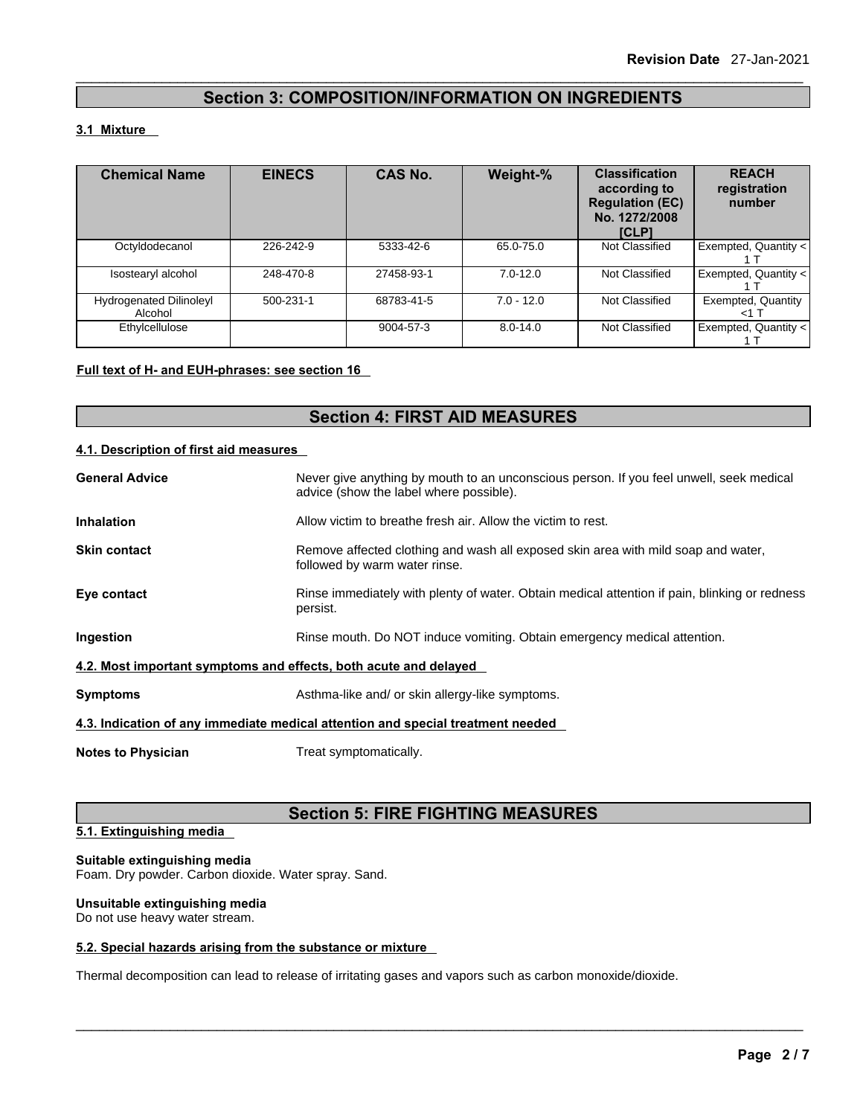### **Section 3: COMPOSITION/INFORMATION ON INGREDIENTS**

### **3.1 Mixture**

| <b>Chemical Name</b>                      | <b>EINECS</b> | <b>CAS No.</b> | Weight-%     | <b>Classification</b><br>according to<br><b>Regulation (EC)</b><br>No. 1272/2008<br>[CLP] | <b>REACH</b><br>registration<br>number |
|-------------------------------------------|---------------|----------------|--------------|-------------------------------------------------------------------------------------------|----------------------------------------|
| Octyldodecanol                            | 226-242-9     | 5333-42-6      | 65.0-75.0    | Not Classified                                                                            | Exempted, Quantity <                   |
| Isostearyl alcohol                        | 248-470-8     | 27458-93-1     | $7.0 - 12.0$ | Not Classified                                                                            | Exempted, Quantity <                   |
| <b>Hydrogenated Dilinoleyl</b><br>Alcohol | 500-231-1     | 68783-41-5     | $7.0 - 12.0$ | Not Classified                                                                            | Exempted, Quantity<br><1 T             |
| Ethylcellulose                            |               | 9004-57-3      | $8.0 - 14.0$ | Not Classified                                                                            | Exempted, Quantity <                   |

### **Full text of H- and EUH-phrases: see section 16**

### **Section 4: FIRST AID MEASURES**

### **4.1. Description of first aid measures**

| <b>General Advice</b>                                            | Never give anything by mouth to an unconscious person. If you feel unwell, seek medical<br>advice (show the label where possible). |  |
|------------------------------------------------------------------|------------------------------------------------------------------------------------------------------------------------------------|--|
| <b>Inhalation</b>                                                | Allow victim to breathe fresh air. Allow the victim to rest.                                                                       |  |
| <b>Skin contact</b>                                              | Remove affected clothing and wash all exposed skin area with mild soap and water,<br>followed by warm water rinse.                 |  |
| Eye contact                                                      | Rinse immediately with plenty of water. Obtain medical attention if pain, blinking or redness<br>persist.                          |  |
| Ingestion                                                        | Rinse mouth. Do NOT induce vomiting. Obtain emergency medical attention.                                                           |  |
| 4.2. Most important symptoms and effects, both acute and delayed |                                                                                                                                    |  |
| <b>Symptoms</b>                                                  | Asthma-like and/ or skin allergy-like symptoms.                                                                                    |  |
|                                                                  | 4.3. Indication of any immediate medical attention and special treatment needed                                                    |  |
| <b>Notes to Physician</b>                                        | Treat symptomatically.                                                                                                             |  |

### **Section 5: FIRE FIGHTING MEASURES**

 $\_$  ,  $\_$  ,  $\_$  ,  $\_$  ,  $\_$  ,  $\_$  ,  $\_$  ,  $\_$  ,  $\_$  ,  $\_$  ,  $\_$  ,  $\_$  ,  $\_$  ,  $\_$  ,  $\_$  ,  $\_$  ,  $\_$  ,  $\_$  ,  $\_$  ,  $\_$  ,  $\_$  ,  $\_$  ,  $\_$  ,  $\_$  ,  $\_$  ,  $\_$  ,  $\_$  ,  $\_$  ,  $\_$  ,  $\_$  ,  $\_$  ,  $\_$  ,  $\_$  ,  $\_$  ,  $\_$  ,  $\_$  ,  $\_$  ,

```
5.1. Extinguishing media
```
### **Suitable extinguishing media**

Foam. Dry powder. Carbon dioxide. Water spray. Sand.

### **Unsuitable extinguishing media**

Do not use heavy water stream.

### **5.2. Special hazards arising from the substance or mixture**

Thermal decomposition can lead to release of irritating gases and vapors such as carbon monoxide/dioxide.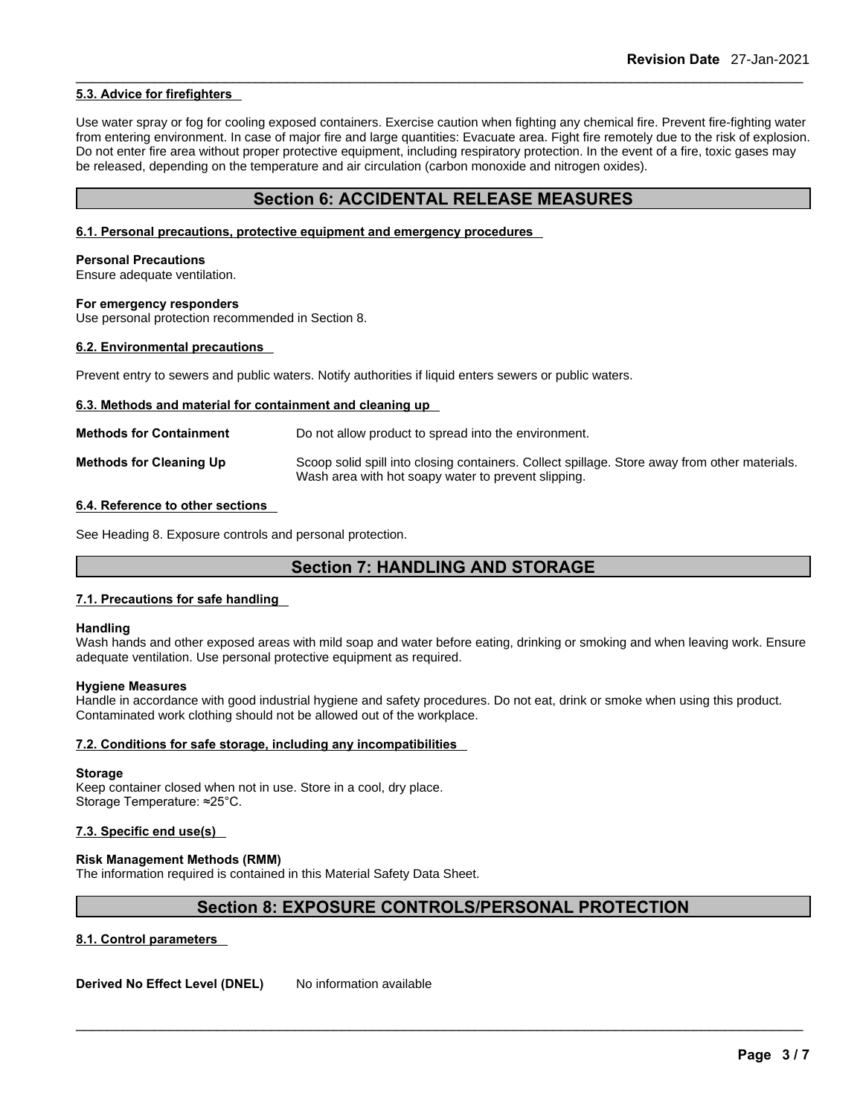### **5.3. Advice for firefighters**

Use water spray or fog for cooling exposed containers. Exercise caution when fighting any chemical fire. Prevent fire-fighting water from entering environment. In case of major fire and large quantities: Evacuate area. Fight fire remotely due to the risk of explosion. Do not enter fire area without proper protective equipment, including respiratory protection. In the event of a fire, toxic gases may be released, depending on the temperature and air circulation (carbon monoxide and nitrogen oxides).

### **Section 6: ACCIDENTAL RELEASE MEASURES**

#### **6.1. Personal precautions, protective equipment and emergency procedures**

#### **Personal Precautions**

Ensure adequate ventilation.

#### **For emergency responders**

Use personal protection recommended in Section 8.

### **6.2. Environmental precautions**

Prevent entry to sewers and public waters. Notify authorities if liquid enters sewers or public waters.

#### **6.3. Methods and material for containment and cleaning up**

| <b>Methods for Containment</b> | Do not allow product to spread into the environment.                                                                                                 |
|--------------------------------|------------------------------------------------------------------------------------------------------------------------------------------------------|
| <b>Methods for Cleaning Up</b> | Scoop solid spill into closing containers. Collect spillage. Store away from other materials.<br>Wash area with hot soapy water to prevent slipping. |

### **6.4. Reference to other sections**

See Heading 8. Exposure controls and personal protection.

### **Section 7: HANDLING AND STORAGE**

#### **7.1. Precautions for safe handling**

#### **Handling**

Wash hands and other exposed areas with mild soap and water before eating, drinking or smoking and when leaving work. Ensure adequate ventilation. Use personal protective equipment as required.

#### **Hygiene Measures**

Handle in accordance with good industrial hygiene and safety procedures. Do not eat, drink or smoke when using this product. Contaminated work clothing should not be allowed out of the workplace.

### **7.2. Conditions for safe storage, including any incompatibilities**

#### **Storage**

Keep container closed when not in use. Store in a cool, dry place. Storage Temperature: ≈25°C.

### **7.3. Specific end use(s)**

### **Risk Management Methods (RMM)**

The information required is contained in this Material Safety Data Sheet.

### **Section 8: EXPOSURE CONTROLS/PERSONAL PROTECTION**

 $\_$  ,  $\_$  ,  $\_$  ,  $\_$  ,  $\_$  ,  $\_$  ,  $\_$  ,  $\_$  ,  $\_$  ,  $\_$  ,  $\_$  ,  $\_$  ,  $\_$  ,  $\_$  ,  $\_$  ,  $\_$  ,  $\_$  ,  $\_$  ,  $\_$  ,  $\_$  ,  $\_$  ,  $\_$  ,  $\_$  ,  $\_$  ,  $\_$  ,  $\_$  ,  $\_$  ,  $\_$  ,  $\_$  ,  $\_$  ,  $\_$  ,  $\_$  ,  $\_$  ,  $\_$  ,  $\_$  ,  $\_$  ,  $\_$  ,

### **8.1. Control parameters**

**Derived No Effect Level (DNEL)** No information available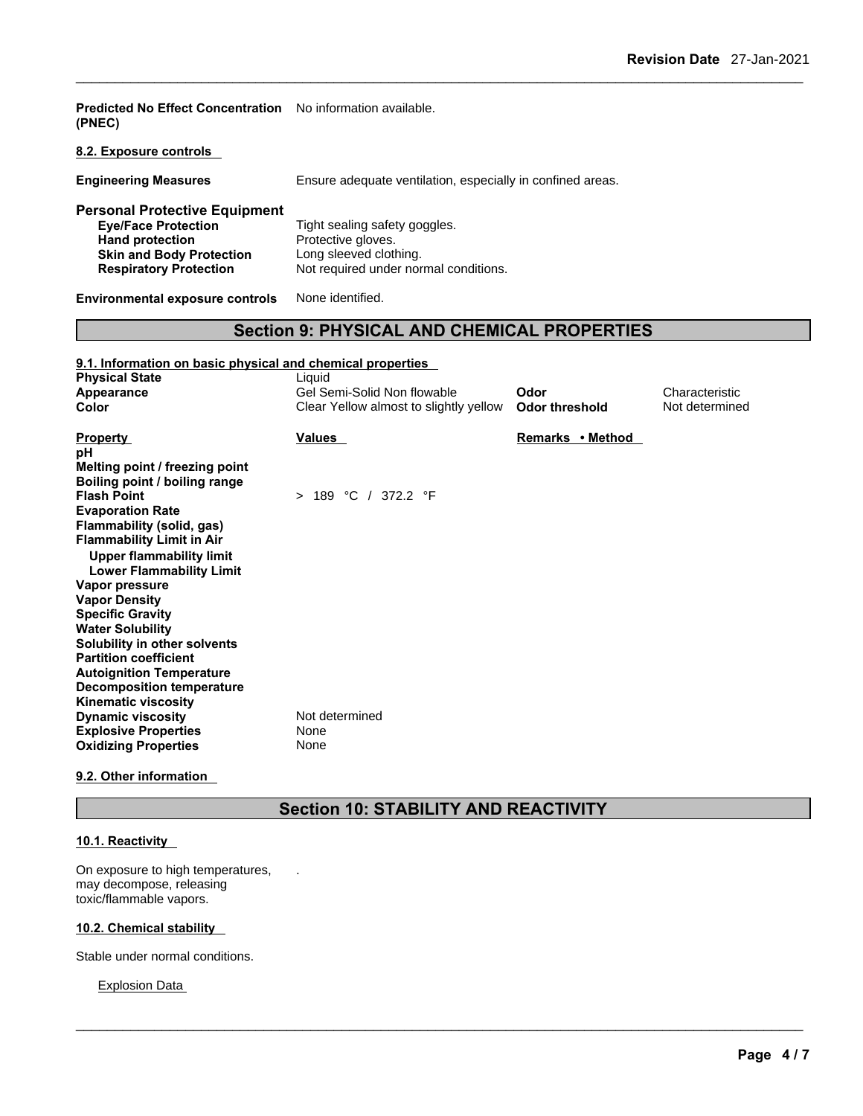**Predicted No Effect Concentration**  No information available. **(PNEC)** 

**8.2. Exposure controls** 

**Engineering Measures** Ensure adequate ventilation, especially in confined areas.

| <b>Personal Protective Equipment</b> |                                       |
|--------------------------------------|---------------------------------------|
| <b>Eve/Face Protection</b>           | Tight sealing safety goggles.         |
| <b>Hand protection</b>               | Protective gloves.                    |
| <b>Skin and Body Protection</b>      | Long sleeved clothing.                |
| <b>Respiratory Protection</b>        | Not required under normal conditions. |
|                                      |                                       |

**Environmental exposure controls** None identified.

### **Section 9: PHYSICAL AND CHEMICAL PROPERTIES**

| Environmental exposure controls                                                                                                                                                                                      | None identified.                                                      |                               |                                  |
|----------------------------------------------------------------------------------------------------------------------------------------------------------------------------------------------------------------------|-----------------------------------------------------------------------|-------------------------------|----------------------------------|
| <b>Section 9: PHYSICAL AND CHEMICAL PROPERTIES</b>                                                                                                                                                                   |                                                                       |                               |                                  |
| 9.1. Information on basic physical and chemical properties<br><b>Physical State</b>                                                                                                                                  | Liquid                                                                |                               |                                  |
| Appearance<br>Color                                                                                                                                                                                                  | Gel Semi-Solid Non flowable<br>Clear Yellow almost to slightly yellow | Odor<br><b>Odor threshold</b> | Characteristic<br>Not determined |
| <b>Property</b><br>рH                                                                                                                                                                                                | <b>Values</b>                                                         | Remarks • Method              |                                  |
| Melting point / freezing point<br>Boiling point / boiling range<br><b>Flash Point</b><br><b>Evaporation Rate</b><br>Flammability (solid, gas)<br><b>Flammability Limit in Air</b><br><b>Upper flammability limit</b> | > 189 °C / 372.2 °F                                                   |                               |                                  |
| <b>Lower Flammability Limit</b><br>Vapor pressure<br><b>Vapor Density</b>                                                                                                                                            |                                                                       |                               |                                  |
| <b>Specific Gravity</b><br><b>Water Solubility</b><br>Solubility in other solvents<br><b>Partition coefficient</b><br><b>Autoignition Temperature</b>                                                                |                                                                       |                               |                                  |
| <b>Decomposition temperature</b><br><b>Kinematic viscosity</b><br><b>Dynamic viscosity</b><br><b>Explosive Properties</b><br><b>Oxidizing Properties</b>                                                             | Not determined<br>None<br>None                                        |                               |                                  |

### **9.2. Other information**

## **Section 10: STABILITY AND REACTIVITY**

 $\_$  ,  $\_$  ,  $\_$  ,  $\_$  ,  $\_$  ,  $\_$  ,  $\_$  ,  $\_$  ,  $\_$  ,  $\_$  ,  $\_$  ,  $\_$  ,  $\_$  ,  $\_$  ,  $\_$  ,  $\_$  ,  $\_$  ,  $\_$  ,  $\_$  ,  $\_$  ,  $\_$  ,  $\_$  ,  $\_$  ,  $\_$  ,  $\_$  ,  $\_$  ,  $\_$  ,  $\_$  ,  $\_$  ,  $\_$  ,  $\_$  ,  $\_$  ,  $\_$  ,  $\_$  ,  $\_$  ,  $\_$  ,  $\_$  ,

.

### **10.1. Reactivity**

On exposure to high temperatures, may decompose, releasing toxic/flammable vapors.

### **10.2. Chemical stability**

Stable under normal conditions.

Explosion Data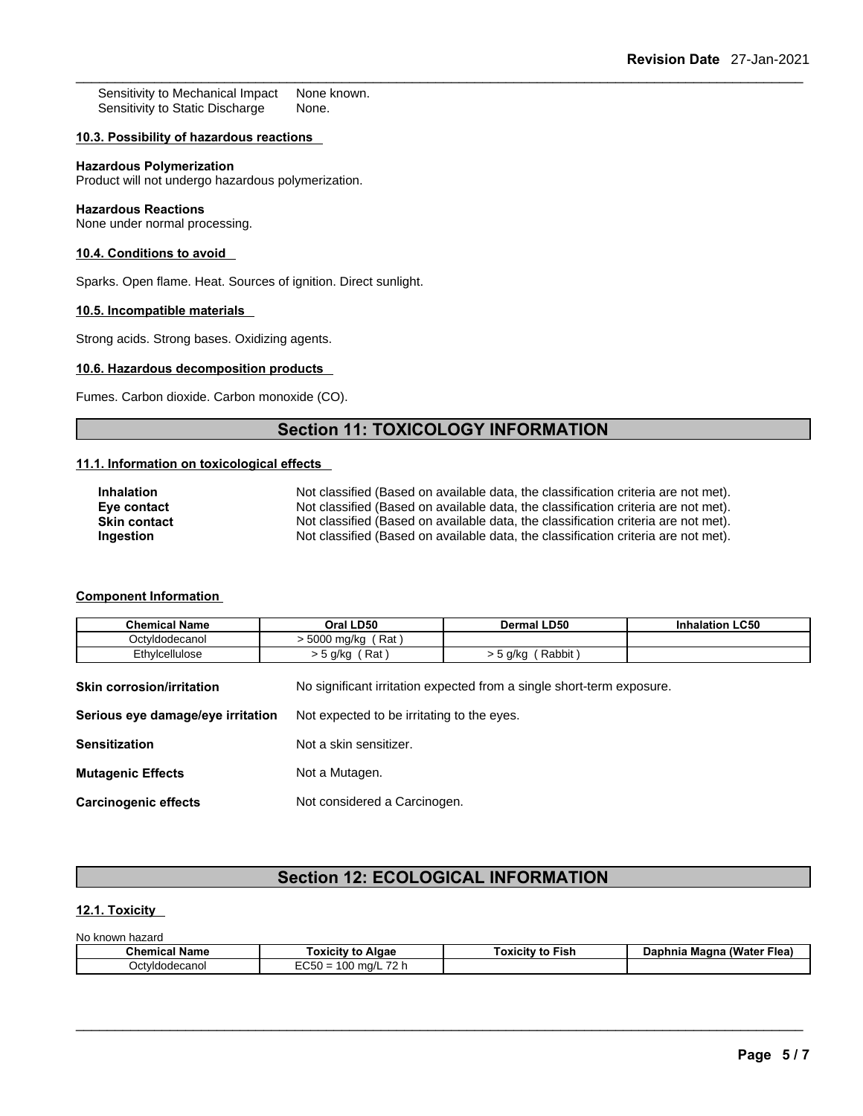Sensitivity to Mechanical Impact None known.<br>Sensitivity to Static Discharge None. Sensitivity to Static Discharge

### **10.3. Possibility of hazardous reactions**

### **Hazardous Polymerization**

Product will not undergo hazardous polymerization.

### **Hazardous Reactions**

None under normal processing.

### **10.4. Conditions to avoid**

Sparks. Open flame. Heat. Sources of ignition. Direct sunlight.

### **10.5. Incompatible materials**

Strong acids. Strong bases. Oxidizing agents.

### **10.6. Hazardous decomposition products**

Fumes. Carbon dioxide. Carbon monoxide (CO).

### **Section 11: TOXICOLOGY INFORMATION**

### **11.1. Information on toxicological effects**

| Inhalation          | Not classified (Based on available data, the classification criteria are not met). |
|---------------------|------------------------------------------------------------------------------------|
| Eve contact         | Not classified (Based on available data, the classification criteria are not met). |
| <b>Skin contact</b> | Not classified (Based on available data, the classification criteria are not met). |
| Ingestion           | Not classified (Based on available data, the classification criteria are not met). |

### **Component Information**

| 11.1. Information on toxicological effects                           |                                                                                                                                                                                                                                                                                                                                                      |                   |                        |
|----------------------------------------------------------------------|------------------------------------------------------------------------------------------------------------------------------------------------------------------------------------------------------------------------------------------------------------------------------------------------------------------------------------------------------|-------------------|------------------------|
| <b>Inhalation</b><br>Eye contact<br><b>Skin contact</b><br>Ingestion | Not classified (Based on available data, the classification criteria are not met).<br>Not classified (Based on available data, the classification criteria are not met).<br>Not classified (Based on available data, the classification criteria are not met).<br>Not classified (Based on available data, the classification criteria are not met). |                   |                        |
| <b>Component Information</b><br><b>Chemical Name</b>                 | Oral LD50                                                                                                                                                                                                                                                                                                                                            | Dermal LD50       | <b>Inhalation LC50</b> |
| Octyldodecanol                                                       | > 5000 mg/kg (Rat)                                                                                                                                                                                                                                                                                                                                   |                   |                        |
| Ethylcellulose                                                       | $>$ 5 g/kg (Rat)                                                                                                                                                                                                                                                                                                                                     | > 5 g/kg (Rabbit) |                        |
| <b>Skin corrosion/irritation</b>                                     | No significant irritation expected from a single short-term exposure.                                                                                                                                                                                                                                                                                |                   |                        |
| Serious eye damage/eye irritation                                    | Not expected to be irritating to the eyes.                                                                                                                                                                                                                                                                                                           |                   |                        |
| <b>Sensitization</b>                                                 | Not a skin sensitizer.                                                                                                                                                                                                                                                                                                                               |                   |                        |
| <b>Mutagenic Effects</b>                                             | Not a Mutagen.                                                                                                                                                                                                                                                                                                                                       |                   |                        |

**Carcinogenic effects** Not considered a Carcinogen.

### **Section 12: ECOLOGICAL INFORMATION**

### **12.1. Toxicity**

| No known<br>hazard ۱ |                                          |                         |                            |
|----------------------|------------------------------------------|-------------------------|----------------------------|
| <b>Chemical Name</b> | Toxicitv to Algae                        | <b>Γoxicitv to Fish</b> | Daphnia Magna (Water Flea) |
| Octvldodecanol       | 100 mg/L 72 h<br>$-$ - -50 = 1 $\degree$ |                         |                            |

 $\_$  ,  $\_$  ,  $\_$  ,  $\_$  ,  $\_$  ,  $\_$  ,  $\_$  ,  $\_$  ,  $\_$  ,  $\_$  ,  $\_$  ,  $\_$  ,  $\_$  ,  $\_$  ,  $\_$  ,  $\_$  ,  $\_$  ,  $\_$  ,  $\_$  ,  $\_$  ,  $\_$  ,  $\_$  ,  $\_$  ,  $\_$  ,  $\_$  ,  $\_$  ,  $\_$  ,  $\_$  ,  $\_$  ,  $\_$  ,  $\_$  ,  $\_$  ,  $\_$  ,  $\_$  ,  $\_$  ,  $\_$  ,  $\_$  ,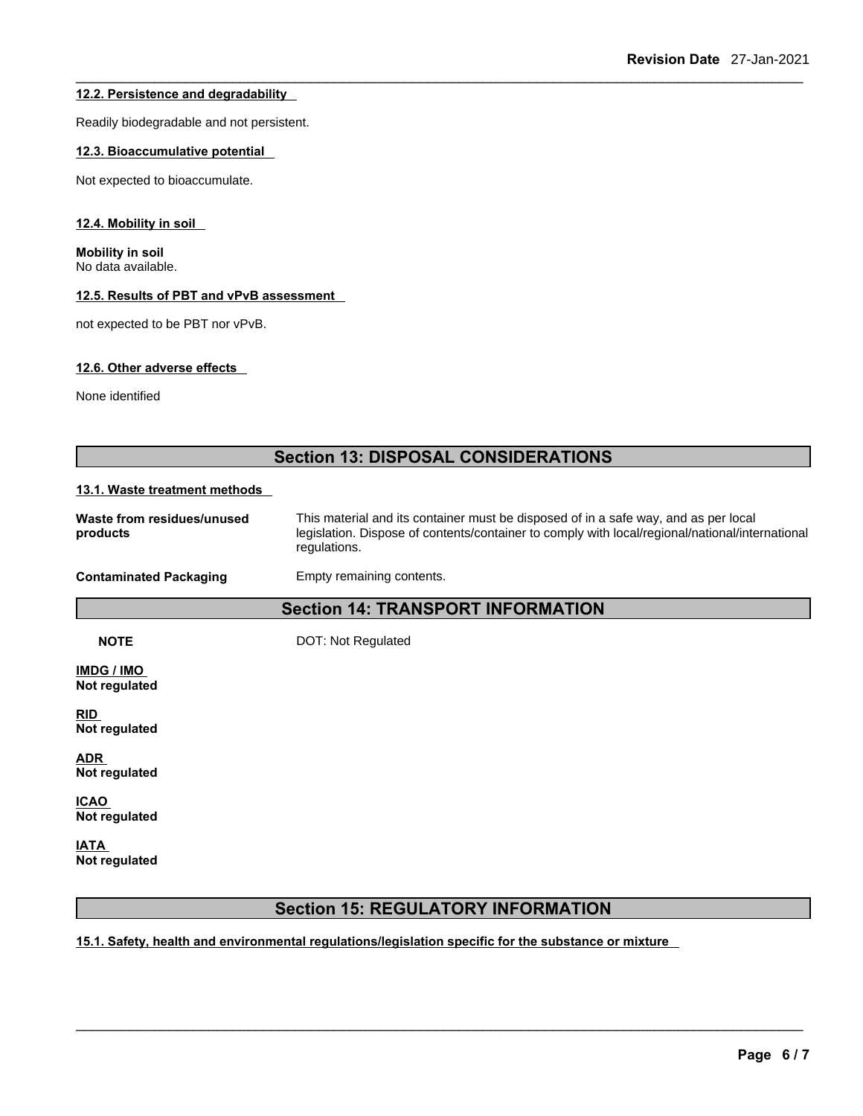### **12.2. Persistence and degradability**

Readily biodegradable and not persistent.

### **12.3. Bioaccumulative potential**

Not expected to bioaccumulate.

### **12.4. Mobility in soil**

**Mobility in soil** No data available.

### **12.5. Results of PBT and vPvB assessment**

not expected to be PBT nor vPvB.

### **12.6. Other adverse effects**

None identified

### **Section 13: DISPOSAL CONSIDERATIONS**

### **13.1. Waste treatment methods**

| Waste from residues/unused<br>products | This material and its container must be disposed of in a safe way, and as per local<br>legislation. Dispose of contents/container to comply with local/regional/national/international<br>regulations. |
|----------------------------------------|--------------------------------------------------------------------------------------------------------------------------------------------------------------------------------------------------------|
| Contaminated Packaging                 | Empty remaining contents.                                                                                                                                                                              |

### **Section 14: TRANSPORT INFORMATION**

**NOTE** DOT: Not Regulated

**IMDG / IMO Not regulated** 

**RID Not regulated** 

**ADR Not regulated** 

**ICAO Not regulated** 

**IATA Not regulated** 

### **Section 15: REGULATORY INFORMATION**

 $\_$  ,  $\_$  ,  $\_$  ,  $\_$  ,  $\_$  ,  $\_$  ,  $\_$  ,  $\_$  ,  $\_$  ,  $\_$  ,  $\_$  ,  $\_$  ,  $\_$  ,  $\_$  ,  $\_$  ,  $\_$  ,  $\_$  ,  $\_$  ,  $\_$  ,  $\_$  ,  $\_$  ,  $\_$  ,  $\_$  ,  $\_$  ,  $\_$  ,  $\_$  ,  $\_$  ,  $\_$  ,  $\_$  ,  $\_$  ,  $\_$  ,  $\_$  ,  $\_$  ,  $\_$  ,  $\_$  ,  $\_$  ,  $\_$  ,

**15.1. Safety, health and environmental regulations/legislation specific for the substance or mixture**